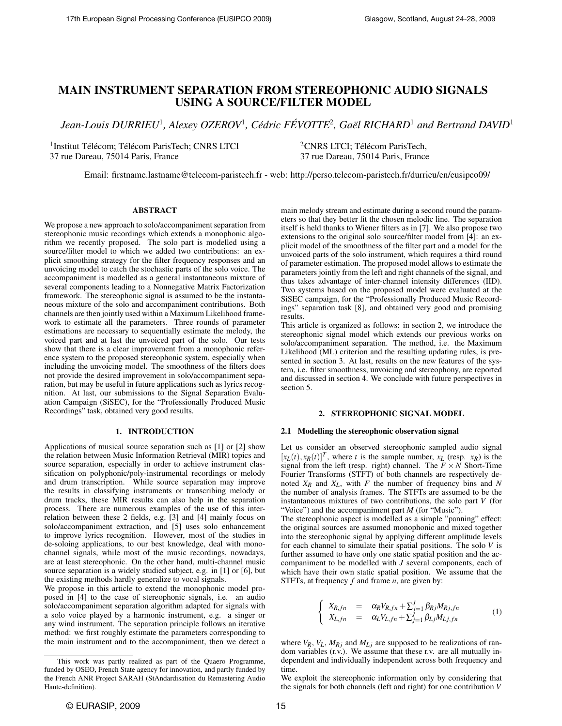# MAIN INSTRUMENT SEPARATION FROM STEREOPHONIC AUDIO SIGNALS USING A SOURCE/FILTER MODEL

*Jean-Louis DURRIEU*<sup>1</sup> *, Alexey OZEROV*<sup>1</sup> *, Cedric F ´ EVOTTE ´* <sup>2</sup> *, Gael RICHARD ¨* <sup>1</sup> *and Bertrand DAVID*<sup>1</sup>

<sup>1</sup> Institut Télécom; Télécom ParisTech; CNRS LTCI 37 rue Dareau, 75014 Paris, France

 ${}^{2}$ CNRS LTCI; Télécom ParisTech, 37 rue Dareau, 75014 Paris, France

Email: firstname.lastname@telecom-paristech.fr - web: http://perso.telecom-paristech.fr/durrieu/en/eusipco09/

## ABSTRACT

We propose a new approach to solo/accompaniment separation from stereophonic music recordings which extends a monophonic algorithm we recently proposed. The solo part is modelled using a source/filter model to which we added two contributions: an explicit smoothing strategy for the filter frequency responses and an unvoicing model to catch the stochastic parts of the solo voice. The accompaniment is modelled as a general instantaneous mixture of several components leading to a Nonnegative Matrix Factorization framework. The stereophonic signal is assumed to be the instantaneous mixture of the solo and accompaniment contributions. Both channels are then jointly used within a Maximum Likelihood framework to estimate all the parameters. Three rounds of parameter estimations are necessary to sequentially estimate the melody, the voiced part and at last the unvoiced part of the solo. Our tests show that there is a clear improvement from a monophonic reference system to the proposed stereophonic system, especially when including the unvoicing model. The smoothness of the filters does not provide the desired improvement in solo/accompaniment separation, but may be useful in future applications such as lyrics recognition. At last, our submissions to the Signal Separation Evaluation Campaign (SiSEC), for the "Professionally Produced Music Recordings" task, obtained very good results.

#### 1. INTRODUCTION

Applications of musical source separation such as [1] or [2] show the relation between Music Information Retrieval (MIR) topics and source separation, especially in order to achieve instrument classification on polyphonic/poly-instrumental recordings or melody and drum transcription. While source separation may improve the results in classifying instruments or transcribing melody or drum tracks, these MIR results can also help in the separation process. There are numerous examples of the use of this interrelation between these 2 fields, e.g. [3] and [4] mainly focus on solo/accompaniment extraction, and [5] uses solo enhancement to improve lyrics recognition. However, most of the studies in de-soloing applications, to our best knowledge, deal with monochannel signals, while most of the music recordings, nowadays, are at least stereophonic. On the other hand, multi-channel music source separation is a widely studied subject, e.g. in [1] or [6], but the existing methods hardly generalize to vocal signals.

We propose in this article to extend the monophonic model proposed in [4] to the case of stereophonic signals, i.e. an audio solo/accompaniment separation algorithm adapted for signals with a solo voice played by a harmonic instrument, e.g. a singer or any wind instrument. The separation principle follows an iterative method: we first roughly estimate the parameters corresponding to the main instrument and to the accompaniment, then we detect a

main melody stream and estimate during a second round the parameters so that they better fit the chosen melodic line. The separation itself is held thanks to Wiener filters as in [7]. We also propose two extensions to the original solo source/filter model from [4]: an explicit model of the smoothness of the filter part and a model for the unvoiced parts of the solo instrument, which requires a third round of parameter estimation. The proposed model allows to estimate the parameters jointly from the left and right channels of the signal, and thus takes advantage of inter-channel intensity differences (IID). Two systems based on the proposed model were evaluated at the SiSEC campaign, for the "Professionally Produced Music Recordings" separation task [8], and obtained very good and promising results.

This article is organized as follows: in section 2, we introduce the stereophonic signal model which extends our previous works on solo/accompaniment separation. The method, i.e. the Maximum Likelihood (ML) criterion and the resulting updating rules, is presented in section 3. At last, results on the new features of the system, i.e. filter smoothness, unvoicing and stereophony, are reported and discussed in section 4. We conclude with future perspectives in section 5.

## 2. STEREOPHONIC SIGNAL MODEL

#### 2.1 Modelling the stereophonic observation signal

Let us consider an observed stereophonic sampled audio signal  $[x_L(t), x_R(t)]^T$ , where *t* is the sample number,  $x_L$  (resp.  $x_R$ ) is the signal from the left (resp. right) channel. The  $F \times N$  Short-Time Fourier Transforms (STFT) of both channels are respectively denoted *XR* and *XL*, with *F* the number of frequency bins and *N* the number of analysis frames. The STFTs are assumed to be the instantaneous mixtures of two contributions, the solo part *V* (for "Voice") and the accompaniment part *M* (for "Music").

The stereophonic aspect is modelled as a simple "panning" effect: the original sources are assumed monophonic and mixed together into the stereophonic signal by applying different amplitude levels for each channel to simulate their spatial positions. The solo *V* is further assumed to have only one static spatial position and the accompaniment to be modelled with *J* several components, each of which have their own static spatial position. We assume that the STFTs, at frequency *f* and frame *n*, are given by:

$$
\begin{cases}\nX_{R,fn} = \alpha_R V_{R,fn} + \sum_{j=1}^J \beta_{Rj} M_{Rj,fn} \\
X_{L,fn} = \alpha_L V_{L,fn} + \sum_{j=1}^J \beta_{Lj} M_{Lj,fn}\n\end{cases} (1)
$$

where  $V_R$ ,  $V_L$ ,  $M_{Rj}$  and  $M_{Li}$  are supposed to be realizations of random variables (r.v.). We assume that these r.v. are all mutually independent and individually independent across both frequency and time.

We exploit the stereophonic information only by considering that the signals for both channels (left and right) for one contribution *V*

This work was partly realized as part of the Quaero Programme, funded by OSEO, French State agency for innovation, and partly funded by the French ANR Project SARAH (StAndardisation du Remastering Audio Haute-definition).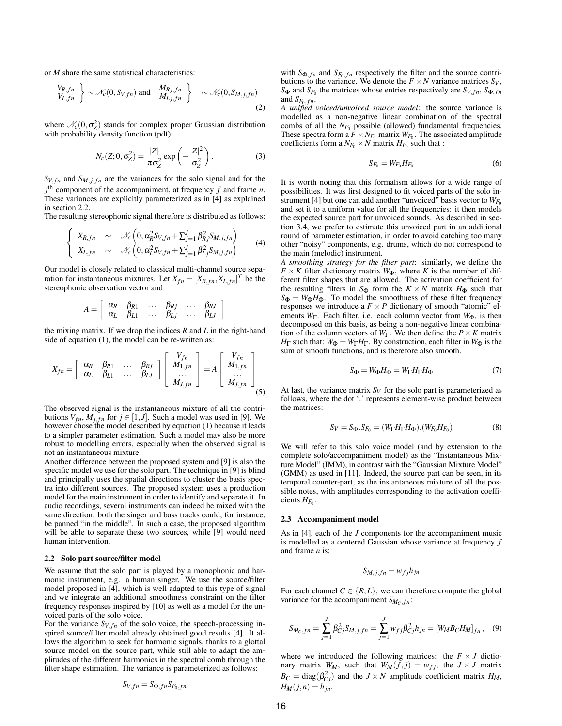or *M* share the same statistical characteristics:

$$
\begin{aligned}\n\left\{ V_{R,fn} \right\} &\sim \mathcal{N}_c(0, S_{V,fn}) \text{ and } \left\{ \begin{array}{c} M_{Rj,fn} \\ M_{Lj,fn} \end{array} \right\} \sim \mathcal{N}_c(0, S_{M,j,fn})\n\end{aligned}
$$
\n(2)

where  $\mathcal{N}_c(0, \sigma_Z^2)$  stands for complex proper Gaussian distribution with probability density function (pdf):

$$
N_c(Z;0,\sigma_Z^2) = \frac{|Z|}{\pi \sigma_Z^2} \exp\left(-\frac{|Z|^2}{\sigma_Z^2}\right).
$$
 (3)

 $S_{V,fn}$  and  $S_{M,j,fn}$  are the variances for the solo signal and for the  $j<sup>th</sup>$  component of the accompaniment, at frequency  $f$  and frame  $n$ . These variances are explicitly parameterized as in [4] as explained in section 2.2.

The resulting stereophonic signal therefore is distributed as follows:

$$
\begin{cases}\nX_{R,fn} & \sim \mathcal{N}_c\left(0, \alpha_R^2 S_{V,fn} + \sum_{j=1}^J \beta_{Rj}^2 S_{M,j,fn}\right) \\
X_{L,fn} & \sim \mathcal{N}_c\left(0, \alpha_L^2 S_{V,fn} + \sum_{j=1}^J \beta_{Lj}^2 S_{M,j,fn}\right)\n\end{cases} (4)
$$

Our model is closely related to classical multi-channel source separation for instantaneous mixtures. Let  $X_{fn} = [X_{R,fn}, X_{L,fn}]^T$  be the stereophonic observation vector and

$$
A = \left[ \begin{array}{cccc} \alpha_R & \beta_{R1} & \dots & \beta_{Rj} & \dots & \beta_{RJ} \\ \alpha_L & \beta_{L1} & \dots & \beta_{Lj} & \dots & \beta_{LJ} \end{array} \right]
$$

the mixing matrix. If we drop the indices *R* and *L* in the right-hand side of equation (1), the model can be re-written as:

$$
X_{fn} = \left[\begin{array}{cccc} \alpha_R & \beta_{R1} & \dots & \beta_{RJ} \\ \alpha_L & \beta_{L1} & \dots & \beta_{LJ} \end{array}\right] \left[\begin{array}{c} V_{fn} \\ M_{1,fn} \\ \dots \\ M_{J,fn} \end{array}\right] = A \left[\begin{array}{c} V_{fn} \\ M_{1,fn} \\ \dots \\ M_{J,fn} \end{array}\right] \tag{5}
$$

The observed signal is the instantaneous mixture of all the contributions  $V_{fn}$ ,  $M_{j,fn}$  for  $j \in [1, J]$ . Such a model was used in [9]. We however chose the model described by equation (1) because it leads to a simpler parameter estimation. Such a model may also be more robust to modelling errors, especially when the observed signal is not an instantaneous mixture.

Another difference between the proposed system and [9] is also the specific model we use for the solo part. The technique in [9] is blind and principally uses the spatial directions to cluster the basis spectra into different sources. The proposed system uses a production model for the main instrument in order to identify and separate it. In audio recordings, several instruments can indeed be mixed with the same direction: both the singer and bass tracks could, for instance, be panned "in the middle". In such a case, the proposed algorithm will be able to separate these two sources, while [9] would need human intervention.

## 2.2 Solo part source/filter model

We assume that the solo part is played by a monophonic and harmonic instrument, e.g. a human singer. We use the source/filter model proposed in [4], which is well adapted to this type of signal and we integrate an additional smoothness constraint on the filter frequency responses inspired by [10] as well as a model for the unvoiced parts of the solo voice.

For the variance  $S_{V,fn}$  of the solo voice, the speech-processing inspired source/filter model already obtained good results [4]. It allows the algorithm to seek for harmonic signals, thanks to a glottal source model on the source part, while still able to adapt the amplitudes of the different harmonics in the spectral comb through the filter shape estimation. The variance is parameterized as follows:

$$
S_{V,fn} = S_{\Phi,fn} S_{F_0,fn}
$$

with  $S_{\Phi,fn}$  and  $S_{F_0,fn}$  respectively the filter and the source contributions to the variance. We denote the  $F \times N$  variance matrices  $S_V$ ,  $S_{\Phi}$  and  $S_{F_0}$  the matrices whose entries respectively are  $S_{V,fn}$ ,  $S_{\Phi,fn}$ and  $S_{F_0,fn}$ .

*A unified voiced/unvoiced source model*: the source variance is modelled as a non-negative linear combination of the spectral combs of all the  $N_{F_0}$  possible (allowed) fundamental frequencies. These spectra form a  $F \times N_{F_0}$  matrix  $W_{F_0}$ . The associated amplitude coefficients form a  $N_{F_0} \times N$  matrix  $H_{F_0}$  such that :

$$
S_{F_0} = W_{F_0} H_{F_0} \tag{6}
$$

It is worth noting that this formalism allows for a wide range of possibilities. It was first designed to fit voiced parts of the solo instrument [4] but one can add another "unvoiced" basis vector to  $W_{F_0}$ and set it to a uniform value for all the frequencies: it then models the expected source part for unvoiced sounds. As described in section 3.4, we prefer to estimate this unvoiced part in an additional round of parameter estimation, in order to avoid catching too many other "noisy" components, e.g. drums, which do not correspond to the main (melodic) instrument.

*A smoothing strategy for the filter part*: similarly, we define the  $F \times K$  filter dictionary matrix  $W_{\Phi}$ , where *K* is the number of different filter shapes that are allowed. The activation coefficient for the resulting filters in  $S_{\Phi}$  form the  $K \times N$  matrix  $H_{\Phi}$  such that  $S_{\Phi} = W_{\Phi}H_{\Phi}$ . To model the smoothness of these filter frequency responses we introduce a  $F \times P$  dictionary of smooth "atomic" elements *W*<sub>Γ</sub>. Each filter, i.e. each column vector from *W*<sub>Φ</sub>, is then decomposed on this basis, as being a non-negative linear combination of the column vectors of  $W_{\Gamma}$ . We then define the  $P \times K$  matrix *H*<sub>Γ</sub> such that:  $W_{\Phi} = W_{\Gamma} H_{\Gamma}$ . By construction, each filter in  $W_{\Phi}$  is the sum of smooth functions, and is therefore also smooth.

$$
S_{\Phi} = W_{\Phi} H_{\Phi} = W_{\Gamma} H_{\Gamma} H_{\Phi} \tag{7}
$$

At last, the variance matrix  $S_V$  for the solo part is parameterized as follows, where the dot '.' represents element-wise product between the matrices:

$$
S_V = S_{\Phi}.S_{F_0} = (W_{\Gamma} H_{\Gamma} H_{\Phi}). (W_{F_0} H_{F_0})
$$
\n(8)

We will refer to this solo voice model (and by extension to the complete solo/accompaniment model) as the "Instantaneous Mixture Model" (IMM), in contrast with the "Gaussian Mixture Model" (GMM) as used in [11]. Indeed, the source part can be seen, in its temporal counter-part, as the instantaneous mixture of all the possible notes, with amplitudes corresponding to the activation coeffi $c$ *ients*  $H_{F_0}$ .

#### 2.3 Accompaniment model

As in [4], each of the *J* components for the accompaniment music is modelled as a centered Gaussian whose variance at frequency *f* and frame *n* is:

$$
S_{M,j,fn} = w_{fj}h_{jn}
$$

For each channel  $C \in \{R, L\}$ , we can therefore compute the global variance for the accompaniment  $S_{M_C,fn}$ :

$$
S_{M_C,fn} = \sum_{j=1}^{J} \beta_{Cj}^{2} S_{M,j,fn} = \sum_{j=1}^{J} w_{fj} \beta_{Cj}^{2} h_{jn} = [W_M B_C H_M]_{fn}, \quad (9)
$$

where we introduced the following matrices: the  $F \times J$  dictionary matrix  $W_M$ , such that  $W_M(f, j) = w_{f, j}$ , the  $J \times J$  matrix  $B_C = \text{diag}(\beta_{C_j}^2)$  and the *J* × *N* amplitude coefficient matrix *H<sub>M</sub>*,  $H_M(j,n) = h_{in}$ .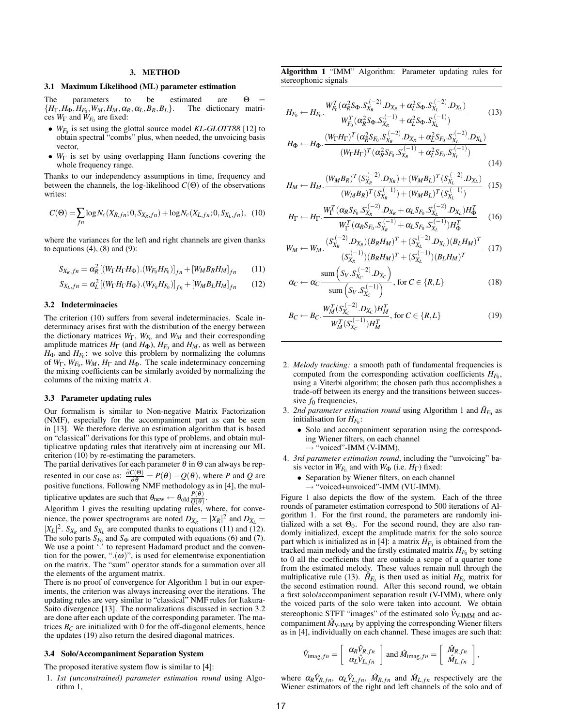#### 3. METHOD

#### 3.1 Maximum Likelihood (ML) parameter estimation

The parameters to be estimated are  $\Theta = \{H_{\Gamma}, H_{\Phi}, H_{F_0}, W_M, H_M, \alpha_R, \alpha_L, B_R, B_L\}$ . The dictionary matri- ${H_{\Gamma}, H_{\Phi}, H_{F_0}, W_M, H_M, \alpha_R, \alpha_L, B_R, B_L}$ . The dictionary matrices *W*<sup>Γ</sup> and *WF*<sup>0</sup> are fixed:

- $W_{F_0}$  is set using the glottal source model *KL-GLOTT88* [12] to obtain spectral "combs" plus, when needed, the unvoicing basis vector,
- *W*<sub>Γ</sub> is set by using overlapping Hann functions covering the whole frequency range.

Thanks to our independency assumptions in time, frequency and between the channels, the log-likelihood  $C(\Theta)$  of the observations writes:

$$
C(\Theta) = \sum_{fn} \log N_c(X_{R,fn}; 0, S_{X_R,fn}) + \log N_c(X_{L,fn}; 0, S_{X_L,fn}), \quad (10)
$$

where the variances for the left and right channels are given thanks to equations  $(4)$ ,  $(8)$  and  $(9)$ :

$$
S_{X_R,fn} = \alpha_R^2 [(W_{\Gamma} H_{\Gamma} H_{\Phi}). (W_{F_0} H_{F_0})]_{fn} + [W_M B_R H_M]_{fn}
$$
 (11)

$$
S_{X_L,fn} = \alpha_L^2 [(W_{\Gamma} H_{\Gamma} H_{\Phi}). (W_{F_0} H_{F_0})]_{fn} + [W_M B_L H_M]_{fn}
$$
 (12)

## 3.2 Indeterminacies

The criterion (10) suffers from several indeterminacies. Scale indeterminacy arises first with the distribution of the energy between the dictionary matrices *W*Γ, *WF*<sup>0</sup> and *WM* and their corresponding amplitude matrices  $H_{\Gamma}$  (and  $H_{\Phi}$ ),  $H_{F_0}$  and  $H_M$ , as well as between  $H_{\Phi}$  and  $H_{F_0}$ : we solve this problem by normalizing the columns of *W*Γ, *WF*<sup>0</sup> , *WM*, *H*<sup>Γ</sup> and *H*Φ. The scale indeterminacy concerning the mixing coefficients can be similarly avoided by normalizing the columns of the mixing matrix *A*.

#### 3.3 Parameter updating rules

Our formalism is similar to Non-negative Matrix Factorization (NMF), especially for the accompaniment part as can be seen in [13]. We therefore derive an estimation algorithm that is based on "classical" derivations for this type of problems, and obtain multiplicative updating rules that iteratively aim at increasing our ML criterion (10) by re-estimating the parameters.

The partial derivatives for each parameter  $\theta$  in  $\Theta$  can always be represented in our case as:  $\frac{\partial C(\Theta)}{\partial \theta} = P(\theta) - Q(\theta)$ , where *P* and *Q* are positive functions. Following NMF methodology as in [4], the multiplicative updates are such that  $\theta_{\text{new}} \leftarrow \theta_{\text{old}} \frac{P(\theta)}{O(\theta)}$  $rac{F(\theta)}{Q(\theta)}$ .

Algorithm 1 gives the resulting updating rules, where, for convenience, the power spectrograms are noted  $D_{X_R} = |X_R|^2$  and  $D_{X_L} =$  $|X_L|^2$ .  $S_{X_R}$  and  $S_{X_L}$  are computed thanks to equations (11) and (12). The solo parts  $S_{F_0}$  and  $S_{\Phi}$  are computed with equations (6) and (7). We use a point '.' to represent Hadamard product and the convention for the power, " $(\omega)$ ", is used for elementwise exponentiation on the matrix. The "sum" operator stands for a summation over all the elements of the argument matrix.

There is no proof of convergence for Algorithm 1 but in our experiments, the criterion was always increasing over the iterations. The updating rules are very similar to "classical" NMF rules for Itakura-Saito divergence [13]. The normalizations discussed in section 3.2 are done after each update of the corresponding parameter. The matrices  $B_C$  are initialized with 0 for the off-diagonal elements, hence the updates (19) also return the desired diagonal matrices.

## 3.4 Solo/Accompaniment Separation System

The proposed iterative system flow is similar to [4]:

1. *1st (unconstrained) parameter estimation round* using Algorithm 1,

Algorithm 1 "IMM" Algorithm: Parameter updating rules for stereophonic signals

$$
H_{F_0} \leftarrow H_{F_0} \cdot \frac{W_{F_0}^T (\alpha_R^2 S_{\Phi} S_{X_R}^{(-2)} . D_{X_R} + \alpha_L^2 S_{\Phi} S_{X_L}^{(-2)} . D_{X_L})}{W_{F_0}^T (\alpha_R^2 S_{\Phi} S_{X_R}^{(-1)} + \alpha_L^2 S_{\Phi} S_{X_L}^{(-1)})}
$$
(13)

$$
H_{\Phi} \leftarrow H_{\Phi} \cdot \frac{\left(W_{\Gamma} H_{\Gamma}\right)^{T} \left(\alpha_{R}^{2} S_{F_{0}} \cdot S_{X_{R}}^{(-2)} \cdot D_{X_{R}} + \alpha_{L}^{2} S_{F_{0}} \cdot S_{X_{L}}^{(-2)} \cdot D_{X_{L}}\right)}{\left(W_{\Gamma} H_{\Gamma}\right)^{T} \left(\alpha_{R}^{2} S_{F_{0}} \cdot S_{X_{R}}^{(-1)} + \alpha_{L}^{2} S_{F_{0}} \cdot S_{X_{L}}^{(-1)}\right)}
$$
\n(14)

$$
H_M \leftarrow H_M \cdot \frac{(W_M B_R)^T (S_{X_R}^{(-2)} \cdot D_{X_R}) + (W_M B_L)^T (S_{X_L}^{(-2)} \cdot D_{X_L})}{(W_M B_R)^T (S_{X_R}^{(-1)}) + (W_M B_L)^T (S_{X_L}^{(-1)})} \tag{15}
$$

$$
H_{\Gamma} \leftarrow H_{\Gamma} \cdot \frac{W_{\Gamma}^{T}(\alpha_{R}S_{F_{0}}.S_{X_{R}}^{(-2)}.D_{X_{R}} + \alpha_{L}S_{F_{0}}.S_{X_{L}}^{(-2)}.D_{X_{L}})H_{\Phi}^{T}}{W_{\Gamma}^{T}(\alpha_{R}S_{F_{0}}.S_{X_{R}}^{(-1)} + \alpha_{L}S_{F_{0}}.S_{X_{L}}^{(-1)})H_{\Phi}^{T}}
$$
(16)

$$
W_M \leftarrow W_M \cdot \frac{(S_{X_R}^{(-2)} \cdot D_{X_R})(B_R H_M)^T + (S_{X_L}^{(-2)} \cdot D_{X_L})(B_L H_M)^T}{(S_{X_R}^{(-1)})(B_R H_M)^T + (S_{X_L}^{(-1)})(B_L H_M)^T}
$$
(17)

$$
\alpha_C \leftarrow \alpha_C \frac{\text{sum}\left(S_V.S_{X_C}^{(-2)}.D_{X_C}\right)}{\text{sum}\left(S_V.S_{X_C}^{(-1)}\right)}, \text{ for } C \in \{R, L\} \tag{18}
$$

$$
B_C \leftarrow B_C \cdot \frac{W_M^T(S_{X_C}^{(-2)} \cdot D_{X_C}) H_M^T}{W_M^T(S_{X_C}^{(-1)}) H_M^T}, \text{ for } C \in \{R, L\}
$$
 (19)

- 2. *Melody tracking:* a smooth path of fundamental frequencies is computed from the corresponding activation coefficients  $H_{F_0}$ , using a Viterbi algorithm; the chosen path thus accomplishes a trade-off between its energy and the transitions between successive *f*<sup>0</sup> frequencies,
- 3. 2nd parameter estimation round using Algorithm 1 and  $\bar{H}_{F_0}$  as initialisation for  $H_{F_0}$ :
	- Solo and accompaniment separation using the corresponding Wiener filters, on each channel  $\rightarrow$  "voiced"-IMM (V-IMM),
	-
- 4. *3rd parameter estimation round*, including the "unvoicing" basis vector in  $W_{F_0}$  and with  $W_{\Phi}$  (i.e.  $H_{\Gamma}$ ) fixed:
	- Separation by Wiener filters, on each channel
	- $\rightarrow$  "voiced+unvoiced"-IMM (VU-IMM).

Figure 1 also depicts the flow of the system. Each of the three rounds of parameter estimation correspond to 500 iterations of Algorithm 1. For the first round, the parameters are randomly initialized with a set  $\Theta_0$ . For the second round, they are also randomly initialized, except the amplitude matrix for the solo source part which is initialized as in [4]: a matrix  $\bar{H}_{F_0}$  is obtained from the tracked main melody and the firstly estimated matrix  $H_{F_0}$  by setting to 0 all the coefficients that are outside a scope of a quarter tone from the estimated melody. These values remain null through the multiplicative rule (13).  $\tilde{H}_{F_0}$  is then used as initial  $H_{F_0}$  matrix for the second estimation round. After this second round, we obtain a first solo/accompaniment separation result (V-IMM), where only the voiced parts of the solo were taken into account. We obtain stereophonic STFT "images" of the estimated solo  $\hat{V}_{V\text{-IMM}}$  and accompaniment  $\hat{M}_{\text{V-IMM}}$  by applying the corresponding Wiener filters as in [4], individually on each channel. These images are such that:

$$
\hat{V}_{\text{imag},fn} = \left[ \begin{array}{c} \alpha_R \hat{V}_{R,fn} \\ \alpha_L \hat{V}_{L,fn} \end{array} \right] \text{ and } \hat{M}_{\text{imag},fn} = \left[ \begin{array}{c} \hat{M}_{R,fn} \\ \hat{M}_{L,fn} \end{array} \right],
$$

where  $\alpha_R \hat{V}_{R,fn}$ ,  $\alpha_L \hat{V}_{L,fn}$ ,  $\hat{M}_{R,fn}$  and  $\hat{M}_{L,fn}$  respectively are the Wiener estimators of the right and left channels of the solo and of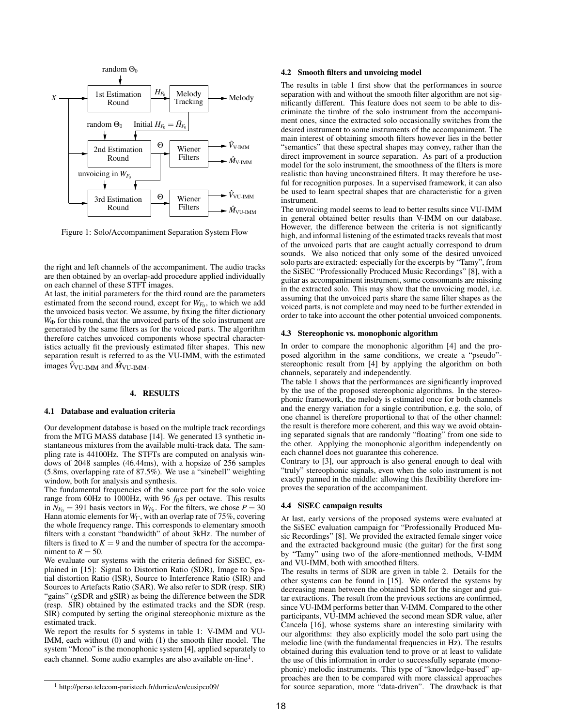

Figure 1: Solo/Accompaniment Separation System Flow

the right and left channels of the accompaniment. The audio tracks are then obtained by an overlap-add procedure applied individually on each channel of these STFT images.

At last, the initial parameters for the third round are the parameters estimated from the second round, except for  $W_{F_0}$ , to which we add the unvoiced basis vector. We assume, by fixing the filter dictionary  $W_{\Phi}$  for this round, that the unvoiced parts of the solo instrument are generated by the same filters as for the voiced parts. The algorithm therefore catches unvoiced components whose spectral characteristics actually fit the previously estimated filter shapes. This new separation result is referred to as the VU-IMM, with the estimated images  $\hat{V}_{\text{VU-IMM}}$  and  $\hat{M}_{\text{VU-IMM}}$ .

## 4. RESULTS

#### 4.1 Database and evaluation criteria

Our development database is based on the multiple track recordings from the MTG MASS database [14]. We generated 13 synthetic instantaneous mixtures from the available multi-track data. The sampling rate is 44100Hz. The STFTs are computed on analysis windows of 2048 samples (46.44ms), with a hopsize of 256 samples (5.8ms, overlapping rate of 87.5%). We use a "sinebell" weighting window, both for analysis and synthesis.

The fundamental frequencies of the source part for the solo voice range from 60Hz to 1000Hz, with 96 *f*0s per octave. This results in  $N_{F_0} = 391$  basis vectors in  $W_{F_0}$ . For the filters, we chose  $P = 30$ Hann atomic elements for *W*Γ, with an overlap rate of 75%, covering the whole frequency range. This corresponds to elementary smooth filters with a constant "bandwidth" of about 3kHz. The number of filters is fixed to  $K = 9$  and the number of spectra for the accompaniment to  $R = 50$ .

We evaluate our systems with the criteria defined for SiSEC, explained in [15]: Signal to Distortion Ratio (SDR), Image to Spatial distortion Ratio (ISR), Source to Interference Ratio (SIR) and Sources to Artefacts Ratio (SAR). We also refer to SDR (resp. SIR) "gains" (gSDR and gSIR) as being the difference between the SDR (resp. SIR) obtained by the estimated tracks and the SDR (resp. SIR) computed by setting the original stereophonic mixture as the estimated track.

We report the results for 5 systems in table 1: V-IMM and VU-IMM, each without (0) and with (1) the smooth filter model. The system "Mono" is the monophonic system [4], applied separately to each channel. Some audio examples are also available on-line<sup>1</sup>.

#### 4.2 Smooth filters and unvoicing model

The results in table 1 first show that the performances in source separation with and without the smooth filter algorithm are not significantly different. This feature does not seem to be able to discriminate the timbre of the solo instrument from the accompaniment ones, since the extracted solo occasionally switches from the desired instrument to some instruments of the accompaniment. The main interest of obtaining smooth filters however lies in the better "semantics" that these spectral shapes may convey, rather than the direct improvement in source separation. As part of a production model for the solo instrument, the smoothness of the filters is more realistic than having unconstrained filters. It may therefore be useful for recognition purposes. In a supervised framework, it can also be used to learn spectral shapes that are characteristic for a given instrument.

The unvoicing model seems to lead to better results since VU-IMM in general obtained better results than V-IMM on our database. However, the difference between the criteria is not significantly high, and informal listening of the estimated tracks reveals that most of the unvoiced parts that are caught actually correspond to drum sounds. We also noticed that only some of the desired unvoiced solo parts are extracted: especially for the excerpts by "Tamy", from the SiSEC "Professionally Produced Music Recordings" [8], with a guitar as accompaniment instrument, some consonnants are missing in the extracted solo. This may show that the unvoicing model, i.e. assuming that the unvoiced parts share the same filter shapes as the voiced parts, is not complete and may need to be further extended in order to take into account the other potential unvoiced components.

#### 4.3 Stereophonic vs. monophonic algorithm

In order to compare the monophonic algorithm [4] and the proposed algorithm in the same conditions, we create a "pseudo" stereophonic result from [4] by applying the algorithm on both channels, separately and independently.

The table 1 shows that the performances are significantly improved by the use of the proposed stereophonic algorithms. In the stereophonic framework, the melody is estimated once for both channels and the energy variation for a single contribution, e.g. the solo, of one channel is therefore proportional to that of the other channel: the result is therefore more coherent, and this way we avoid obtaining separated signals that are randomly "floating" from one side to the other. Applying the monophonic algorithm independently on each channel does not guarantee this coherence.

Contrary to [3], our approach is also general enough to deal with "truly" stereophonic signals, even when the solo instrument is not exactly panned in the middle: allowing this flexibility therefore improves the separation of the accompaniment.

#### 4.4 SiSEC campaign results

At last, early versions of the proposed systems were evaluated at the SiSEC evaluation campaign for "Professionally Produced Music Recordings" [8]. We provided the extracted female singer voice and the extracted background music (the guitar) for the first song by "Tamy" using two of the afore-mentionned methods, V-IMM and VU-IMM, both with smoothed filters.

The results in terms of SDR are given in table 2. Details for the other systems can be found in [15]. We ordered the systems by decreasing mean between the obtained SDR for the singer and guitar extractions. The result from the previous sections are confirmed, since VU-IMM performs better than V-IMM. Compared to the other participants, VU-IMM achieved the second mean SDR value, after Cancela [16], whose systems share an interesting similarity with our algorithms: they also explicitly model the solo part using the melodic line (with the fundamental frequencies in Hz). The results obtained during this evaluation tend to prove or at least to validate the use of this information in order to successfully separate (monophonic) melodic instruments. This type of "knowledge-based" approaches are then to be compared with more classical approaches for source separation, more "data-driven". The drawback is that

<sup>1</sup> http://perso.telecom-paristech.fr/durrieu/en/eusipco09/